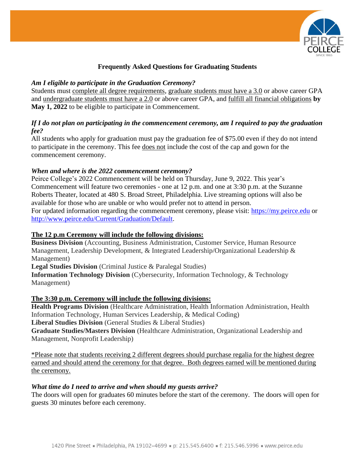

# **Frequently Asked Questions for Graduating Students**

#### *Am I eligible to participate in the Graduation Ceremony?*

Students must complete all degree requirements, graduate students must have a 3.0 or above career GPA and undergraduate students must have a 2.0 or above career GPA, and fulfill all financial obligations **by May 1, 2022** to be eligible to participate in Commencement.

# *If I do not plan on participating in the commencement ceremony, am I required to pay the graduation fee?*

All students who apply for graduation must pay the graduation fee of \$75.00 even if they do not intend to participate in the ceremony. This fee does not include the cost of the cap and gown for the commencement ceremony.

### *When and where is the 2022 commencement ceremony?*

Peirce College's 2022 Commencement will be held on Thursday, June 9, 2022. This year's Commencement will feature two ceremonies - one at 12 p.m. and one at 3:30 p.m. at the Suzanne Roberts Theater, located at 480 S. Broad Street, Philadelphia. Live streaming options will also be available for those who are unable or who would prefer not to attend in person. For updated information regarding the commencement ceremony, please visit: [https://my.peirce.edu](https://my.peirce.edu/) or [http://www.peirce.edu/Current/Graduation/Default.](http://www.peirce.edu/Current/Graduation/Default)

#### **The 12 p.m Ceremony will include the following divisions:**

**Business Division** (Accounting, Business Administration, Customer Service, Human Resource Management, Leadership Development, & Integrated Leadership/Organizational Leadership & Management)

**Legal Studies Division** (Criminal Justice & Paralegal Studies)

**Information Technology Division** (Cybersecurity, Information Technology, & Technology Management)

# **The 3:30 p.m. Ceremony will include the following divisions:**

**Health Programs Division** (Healthcare Administration, Health Information Administration, Health Information Technology, Human Services Leadership, & Medical Coding) **Liberal Studies Division** (General Studies & Liberal Studies) **Graduate Studies/Masters Division** (Healthcare Administration, Organizational Leadership and

Management, Nonprofit Leadership)

\*Please note that students receiving 2 different degrees should purchase regalia for the highest degree earned and should attend the ceremony for that degree. Both degrees earned will be mentioned during the ceremony.

# *What time do I need to arrive and when should my guests arrive?*

The doors will open for graduates 60 minutes before the start of the ceremony. The doors will open for guests 30 minutes before each ceremony.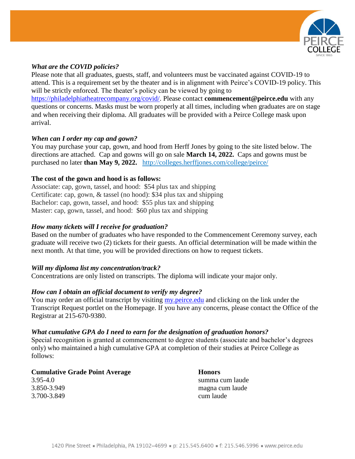

#### *What are the COVID policies?*

Please note that all graduates, guests, staff, and volunteers must be vaccinated against COVID-19 to attend. This is a requirement set by the theater and is in alignment with Peirce's COVID-19 policy. This will be strictly enforced. The theater's policy can be viewed by going to [https://philadelphiatheatrecompany.org/covid/.](https://philadelphiatheatrecompany.org/covid/) Please contact **[commencement@peirce.edu](mailto:commencement@peirce.edu)** with any questions or concerns. Masks must be worn properly at all times, including when graduates are on stage and when receiving their diploma. All graduates will be provided with a Peirce College mask upon arrival.

### *When can I order my cap and gown?*

You may purchase your cap, gown, and hood from Herff Jones by going to the site listed below. The directions are attached. Cap and gowns will go on sale **March 14, 2022.** Caps and gowns must be purchased no later **than May 9, 2022.** <http://colleges.herffjones.com/college/peirce/>

### **The cost of the gown and hood is as follows:**

Associate: cap, gown, tassel, and hood: \$54 plus tax and shipping Certificate: cap, gown, & tassel (no hood): \$34 plus tax and shipping Bachelor: cap, gown, tassel, and hood: \$55 plus tax and shipping Master: cap, gown, tassel, and hood: \$60 plus tax and shipping

### *How many tickets will I receive for graduation?*

Based on the number of graduates who have responded to the Commencement Ceremony survey, each graduate will receive two (2) tickets for their guests. An official determination will be made within the next month. At that time, you will be provided directions on how to request tickets.

# *Will my diploma list my concentration/track?*

Concentrations are only listed on transcripts. The diploma will indicate your major only.

# *How can I obtain an official document to verify my degree?*

You may order an official transcript by visiting my, peirce, edu and clicking on the link under the Transcript Request portlet on the Homepage. If you have any concerns, please contact the Office of the Registrar at 215-670-9380.

#### *What cumulative GPA do I need to earn for the designation of graduation honors?*

Special recognition is granted at commencement to degree students (associate and bachelor's degrees only) who maintained a high cumulative GPA at completion of their studies at Peirce College as follows:

**Cumulative Grade Point Average Honors** 3.95-4.0 summa cum laude 3.850-3.949 magna cum laude 3.700-3.849 cum laude